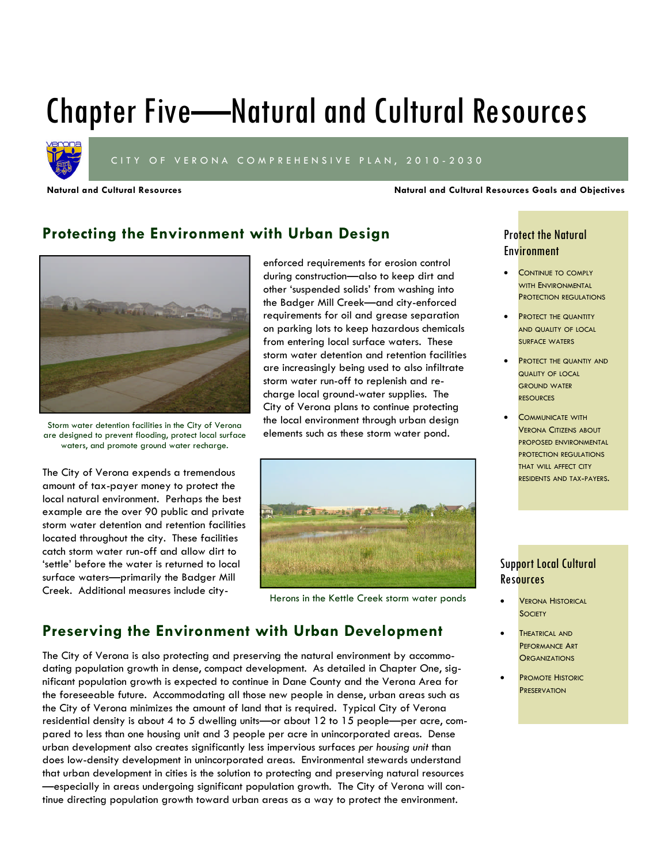# Chapter Five—Natural and Cultural Resources



CITY OF VERONA COMPREHENSIVE PLAN, 2010-2030

**Natural and Cultural Resources Natural and Cultural Resources Goals and Objectives**

## **Protecting the Environment with Urban Design**



Storm water detention facilities in the City of Verona are designed to prevent flooding, protect local surface waters, and promote ground water recharge.

The City of Verona expends a tremendous amount of tax-payer money to protect the local natural environment. Perhaps the best example are the over 90 public and private storm water detention and retention facilities located throughout the city. These facilities catch storm water run-off and allow dirt to 'settle' before the water is returned to local surface waters—primarily the Badger Mill Creek. Additional measures include cityenforced requirements for erosion control during construction—also to keep dirt and other 'suspended solids' from washing into the Badger Mill Creek—and city-enforced requirements for oil and grease separation on parking lots to keep hazardous chemicals from entering local surface waters. These storm water detention and retention facilities are increasingly being used to also infiltrate storm water run-off to replenish and recharge local ground-water supplies. The City of Verona plans to continue protecting the local environment through urban design elements such as these storm water pond.



Herons in the Kettle Creek storm water ponds

## **Preserving the Environment with Urban Development**

The City of Verona is also protecting and preserving the natural environment by accommodating population growth in dense, compact development. As detailed in Chapter One, significant population growth is expected to continue in Dane County and the Verona Area for the foreseeable future. Accommodating all those new people in dense, urban areas such as the City of Verona minimizes the amount of land that is required. Typical City of Verona residential density is about 4 to 5 dwelling units—or about 12 to 15 people—per acre, compared to less than one housing unit and 3 people per acre in unincorporated areas. Dense urban development also creates significantly less impervious surfaces *per housing unit* than does low-density development in unincorporated areas. Environmental stewards understand that urban development in cities is the solution to protecting and preserving natural resources —especially in areas undergoing significant population growth. The City of Verona will continue directing population growth toward urban areas as a way to protect the environment.

### Protect the Natural Environment

- CONTINUE TO COMPLY WITH ENVIRONMENTAL PROTECTION REGULATIONS
- PROTECT THE QUANTITY AND QUALITY OF LOCAL SURFACE WATERS
- PROTECT THE QUANTIY AND QUALITY OF LOCAL GROUND WATER **RESOURCES**
- COMMUNICATE WITH VERONA CITIZENS ABOUT PROPOSED ENVIRONMENTAL PROTECTION REGULATIONS THAT WILL AFFECT CITY RESIDENTS AND TAX-PAYERS.

### Support Local Cultural **Resources**

- VERONA HISTORICAL **SOCIETY**
- THEATRICAL AND PEFORMANCE ART **ORGANIZATIONS**
- PROMOTE HISTORIC **PRESERVATION**